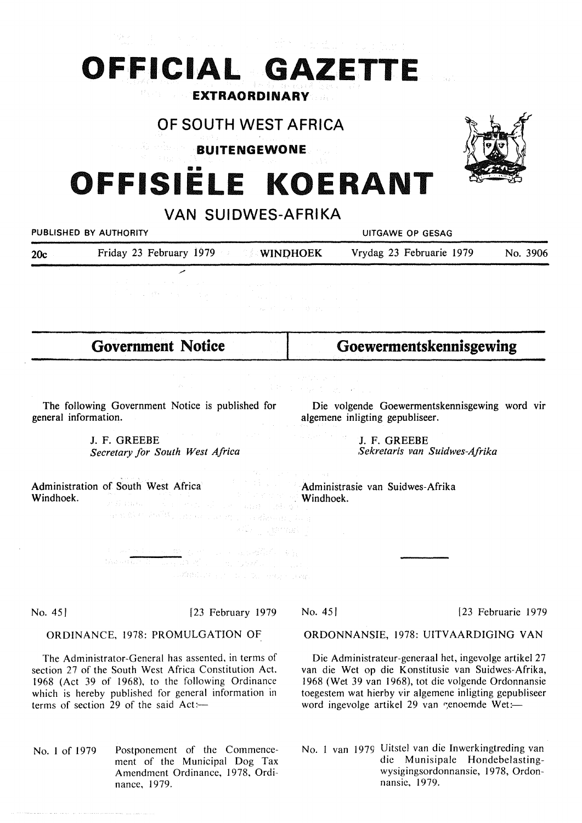## **OFFICIAL GAZETTE EXTRAORDINARY**

### OF SOUTH WEST AFRICA

**BUITENGEWONE** 

# **OFFISIELE KOERANT**

VAN CHIDMES AFRIKA

|                                                                          | VAN JUIDWEJ-ALIIINA                                                                                            |                                                                                                                                                                                                                                                                                                                                                                                                                                                           |                                                                                                                                                                                                                                                                   |                                  |                    |
|--------------------------------------------------------------------------|----------------------------------------------------------------------------------------------------------------|-----------------------------------------------------------------------------------------------------------------------------------------------------------------------------------------------------------------------------------------------------------------------------------------------------------------------------------------------------------------------------------------------------------------------------------------------------------|-------------------------------------------------------------------------------------------------------------------------------------------------------------------------------------------------------------------------------------------------------------------|----------------------------------|--------------------|
|                                                                          | PUBLISHED BY AUTHORITY                                                                                         |                                                                                                                                                                                                                                                                                                                                                                                                                                                           | UITGAWE OP GESAG                                                                                                                                                                                                                                                  |                                  |                    |
| 20c                                                                      | Friday 23 February 1979                                                                                        |                                                                                                                                                                                                                                                                                                                                                                                                                                                           | <b>WINDHOEK</b>                                                                                                                                                                                                                                                   | Vrydag 23 Februarie 1979         | No. 3906           |
|                                                                          | $\sim 1000$<br>de la companya de la companya de                                                                |                                                                                                                                                                                                                                                                                                                                                                                                                                                           | $\mathcal{A}$ and $\mathcal{A}$ are the state of the state of the state $\mathcal{A}$<br>$\label{eq:3.1} \mathcal{I} = \{ \mu_{\mathcal{U}} \mid \mathcal{E} = \mu_{\mathcal{U}} \mid \mathcal{E} = \{ \mu_{\mathcal{U}} \mid \mathcal{E} = \mu_{\mathcal{U}} \}$ |                                  |                    |
|                                                                          | <b>Government Notice</b>                                                                                       |                                                                                                                                                                                                                                                                                                                                                                                                                                                           |                                                                                                                                                                                                                                                                   | Goewermentskennisgewing          |                    |
|                                                                          |                                                                                                                | $\mathcal{L}^{\mathcal{L}}(\mathcal{L}^{\mathcal{L}}(\mathcal{L}^{\mathcal{L}}(\mathcal{L}^{\mathcal{L}}(\mathcal{L}^{\mathcal{L}}(\mathcal{L}^{\mathcal{L}}(\mathcal{L}^{\mathcal{L}}(\mathcal{L}^{\mathcal{L}}(\mathcal{L}^{\mathcal{L}}(\mathcal{L}^{\mathcal{L}}(\mathcal{L}^{\mathcal{L}}(\mathcal{L}^{\mathcal{L}}(\mathcal{L}^{\mathcal{L}}(\mathcal{L}^{\mathcal{L}}(\mathcal{L}^{\mathcal{L}}(\mathcal{L}^{\mathcal{L}}(\mathcal{L}^{\mathcal{L$ |                                                                                                                                                                                                                                                                   | 有关的 人名英格兰人姓氏科尔的变体 医心包的 医无线       |                    |
| The following Government Notice is published for<br>general information. |                                                                                                                |                                                                                                                                                                                                                                                                                                                                                                                                                                                           | Die volgende Goewermentskennisgewing word vir<br>algemene inligting gepubliseer.                                                                                                                                                                                  |                                  |                    |
| J. F. GREEBE<br>Secretary for South West Africa                          |                                                                                                                |                                                                                                                                                                                                                                                                                                                                                                                                                                                           | and the community of the com-<br>J. F. GREEBE<br>Sekretaris van Suidwes-Afrika                                                                                                                                                                                    |                                  |                    |
| Windhoek.                                                                | Administration of South West Africa<br>大样的时间, 人工的社会, 人工的社会的<br>and the shall contact construction and complete | skiller størregist                                                                                                                                                                                                                                                                                                                                                                                                                                        | substitution of the experi-<br><b>Windhoek.</b>                                                                                                                                                                                                                   | Administrasie van Suidwes-Afrika |                    |
|                                                                          | Results in the two states of the second states of the states<br>contrations and the fact and a contra-         |                                                                                                                                                                                                                                                                                                                                                                                                                                                           |                                                                                                                                                                                                                                                                   |                                  |                    |
| No. 45                                                                   | [23 February 1979]                                                                                             |                                                                                                                                                                                                                                                                                                                                                                                                                                                           | No. 45                                                                                                                                                                                                                                                            |                                  | [23 Februarie 1979 |
| ORDINANCE, 1978: PROMULGATION OF                                         |                                                                                                                |                                                                                                                                                                                                                                                                                                                                                                                                                                                           | ORDONNANSIE, 1978: UITVAARDIGING VAN                                                                                                                                                                                                                              |                                  |                    |
| The Administrator-General has assented, in terms of                      |                                                                                                                |                                                                                                                                                                                                                                                                                                                                                                                                                                                           | Die Administrateur-generaal het, ingevolge artikel 27                                                                                                                                                                                                             |                                  |                    |

section 27 of the South West Africa Constitution Act. 1968 (Act 39 of 1968), to the following Ordinance which is hereby published for general information in

No. I of 1979 Postponement of the Commence-

nance, 1979.

ment of the Municipal Dog Tax Amendment Ordinance, 1978, Ordi-

terms of section 29 of the said  $Act:=$ 

Die Administrateur-generaal het, ingevolge artikel 27 van die Wet op die Konstitusie van Suidwes-Afrika, 1968 (Wet 39 van 1968), tot die volgende Ordonnansie toegestem wat hierby vir algemene inligting gepubliseer word ingevolge artikel 29 van genoemde Wet:-

No. 1 van 1979 Uitstel van die Inwerkingtreding van die Munisipale Hondebelastingwysigingsordonnansie, 1978, Ordonnansie, 1979.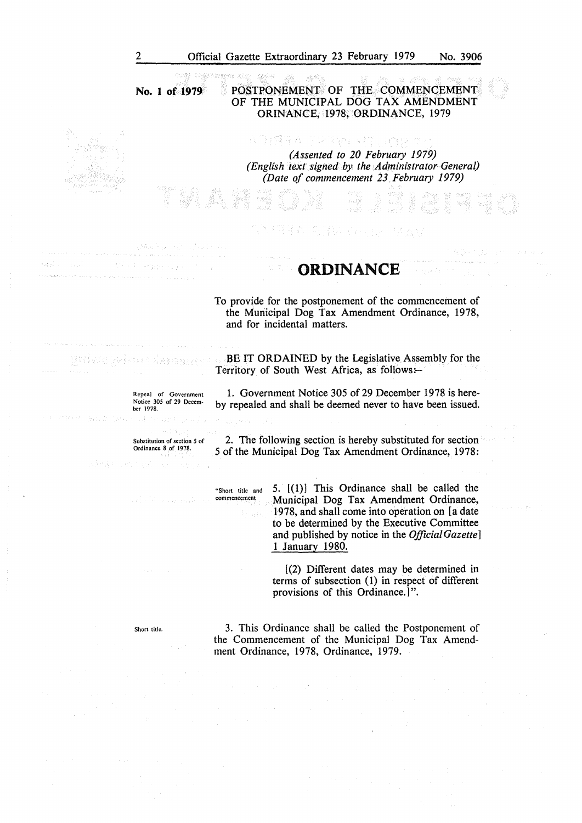**No. 1 of 1979** 

#### POSTPONEMENT OF THE COMMENCEMENT OF THE MUNICIPAL DOG TAX AMENDMENT ORINANCE, 1978, ORDINANCE, 1979

RA TORIAL VII HAG A *(Assented to 20 February 1979) (English text signed by the Administrator- General) (Date of commencement 23\_ February 1979)* 

#### **ORDINANCE**

To provide for the postponement of the commencement of the Municipal Dog Tax Amendment Ordinance, 1978, and for incidental matters.

BE IT ORDAINED by the Legislative Assembly for the Territory of South West Africa, as follows:-

Repeal of Government Notice 305 of 29 December 1978.

일 2월 72 5g b 4호

Mich engineers

1. Government Notice 305 of 29 December 1978 is hereby repealed and shall be deemed never to have been issued.

Substitmion of section *5* of Ordinance 8 of 1978.

> "Short title and commencement

2. The following section is hereby substituted for section 5 of the Municipal Dog Tax Amendment Ordinance, 1978:

> 5. [(1)] This Ordinance shall be called the Municipal Dog Tax Amendment Ordinance, 1978, and shall come into operation on [a date to be determined by the Executive Committee and published by notice in the *Official Gazette]*  1 January 1980.

[(2) Different dates may be determined in terms of subsection (1) in respect of different provisions of this Ordinance.]".

Short title.

3. This Ordinance shall be called the Postponement of the Commencement of the Municipal Dog Tax Amendment Ordinance, 1978, Ordinance, 1979,